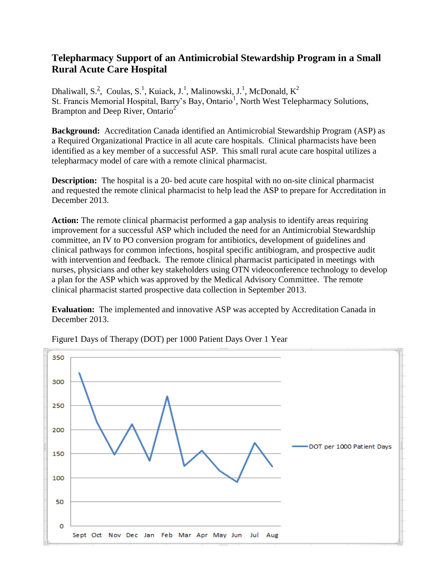## **Telepharmacy Support of an Antimicrobial Stewardship Program in a Small Rural Acute Care Hospital**

Dhaliwall, S.<sup>2</sup>, Coulas, S.<sup>1</sup>, Kuiack, J.<sup>1</sup>, Malinowski, J.<sup>1</sup>, McDonald, K<sup>2</sup> St. Francis Memorial Hospital, Barry's Bay, Ontario<sup>1</sup>, North West Telepharmacy Solutions, Brampton and Deep River, Ontario<sup>2</sup>

**Background:** Accreditation Canada identified an Antimicrobial Stewardship Program (ASP) as a Required Organizational Practice in all acute care hospitals. Clinical pharmacists have been identified as a key member of a successful ASP. This small rural acute care hospital utilizes a telepharmacy model of care with a remote clinical pharmacist.

**Description:** The hospital is a 20- bed acute care hospital with no on-site clinical pharmacist and requested the remote clinical pharmacist to help lead the ASP to prepare for Accreditation in December 2013.

**Action:** The remote clinical pharmacist performed a gap analysis to identify areas requiring improvement for a successful ASP which included the need for an Antimicrobial Stewardship committee, an IV to PO conversion program for antibiotics, development of guidelines and clinical pathways for common infections, hospital specific antibiogram, and prospective audit with intervention and feedback. The remote clinical pharmacist participated in meetings with nurses, physicians and other key stakeholders using OTN videoconference technology to develop a plan for the ASP which was approved by the Medical Advisory Committee. The remote clinical pharmacist started prospective data collection in September 2013.

**Evaluation:** The implemented and innovative ASP was accepted by Accreditation Canada in December 2013.



Figure1 Days of Therapy (DOT) per 1000 Patient Days Over 1 Year